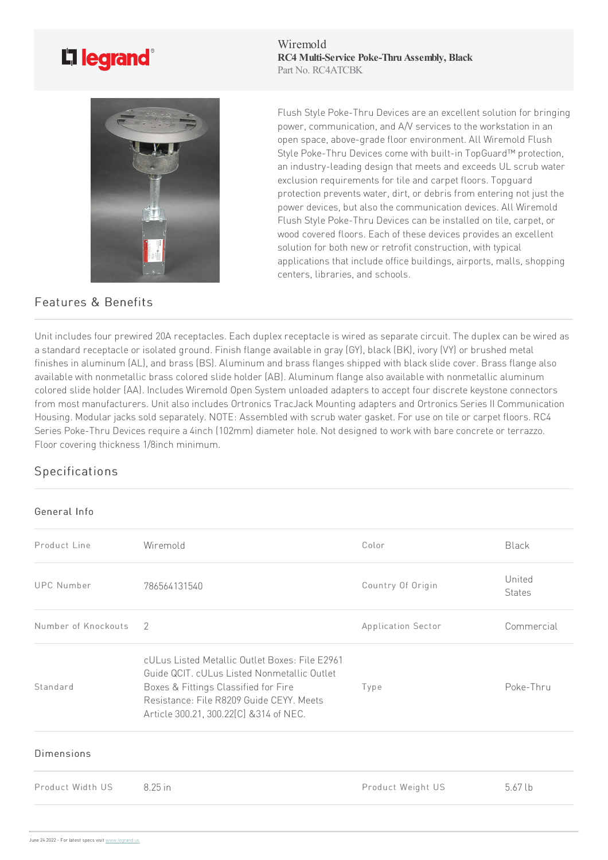## L'i legrand<sup>®</sup>



## Features & Benefits

Wiremold **RC4 Multi-Service Poke-Thru Assembly, Black** Part No. RC4ATCBK

Flush Style Poke-Thru Devices are an excellent solution for bringing power, communication, and A/V services to the workstation in an open space, above-grade floor environment. All Wiremold Flush Style Poke-Thru Devices come with built-in TopGuard™ protection, an industry-leading design that meets and exceeds UL scrub water exclusion requirements for tile and carpet floors. Topguard protection prevents water, dirt, or debris from entering not just the power devices, but also the communication devices. All Wiremold Flush Style Poke-Thru Devices can be installed on tile, carpet, or wood covered floors. Each of these devices provides an excellent solution for both new or retrofit construction, with typical applications that include office buildings, airports, malls, shopping centers, libraries, and schools.

Unit includes four prewired 20A receptacles. Each duplex receptacle is wired as separate circuit. The duplex can be wired as a standard receptacle or isolated ground. Finish flange available in gray (GY), black (BK), ivory (VY) or brushed metal finishes in aluminum (AL), and brass (BS). Aluminum and brass flanges shipped with black slide cover. Brass flange also available with nonmetallic brass colored slide holder (AB). Aluminum flange also available with nonmetallic aluminum colored slide holder (AA). Includes Wiremold Open System unloaded adapters to accept four discrete keystone connectors from most manufacturers. Unit also includes Ortronics TracJack Mounting adapters and Ortronics Series II Communication Housing. Modular jacks sold separately. NOTE: Assembled with scrub water gasket. For use on tile or carpet floors. RC4 Series Poke-Thru Devices require a 4inch (102mm) diameter hole. Not designed to work with bare concrete or terrazzo. Floor covering thickness 1/8inch minimum.

## Specifications

## General Info

| Product Line        | Wiremold                                                                                                                                                                                                                     | Color              | Black                   |
|---------------------|------------------------------------------------------------------------------------------------------------------------------------------------------------------------------------------------------------------------------|--------------------|-------------------------|
| <b>UPC Number</b>   | 786564131540                                                                                                                                                                                                                 | Country Of Origin  | United<br><b>States</b> |
| Number of Knockouts | $\mathcal{P}$                                                                                                                                                                                                                | Application Sector | Commercial              |
| Standard            | cULus Listed Metallic Outlet Boxes: File E2961<br>Guide QCIT. cULus Listed Nonmetallic Outlet<br>Boxes & Fittings Classified for Fire<br>Resistance: File R8209 Guide CEYY, Meets<br>Article 300.21, 300.22[C] & 314 of NEC. | Type               | Poke-Thru               |
| Dimensions          |                                                                                                                                                                                                                              |                    |                         |
| Product Width US    | 8.25 in                                                                                                                                                                                                                      | Product Weight US  | $5.67$ lb               |
|                     |                                                                                                                                                                                                                              |                    |                         |